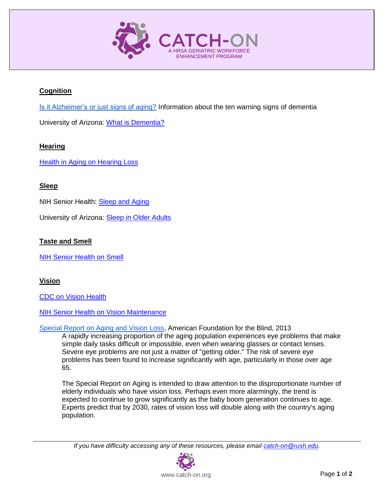

# **Cognition**

[Is it Alzheimer's or just signs of aging?](https://www.alz.org/national/documents/aa_brochure_10warnsigns.pdf) Information about the ten warning signs of dementia

University of Arizona: [What is Dementia?](http://aging.arizona.edu/sites/aging/files/fact-sheet-pdfs/what_is_dementia.pdf)

## **Hearing**

Health in [Aging on Hearing Loss](http://www.healthinaging.org/aging-and-health-a-to-z/topic:hearing-loss/)

## **Sleep**

NIH Senior Health: **Sleep and Aging** 

University of Arizona: [Sleep in Older Adults](http://aging.arizona.edu/sites/aging/files/fact-sheet-pdfs/sleep_0.pdf)

## **Taste and Smell**

[NIH Senior Health on Smell](http://nihseniorhealth.gov/problemswithsmell/aboutproblemswithsmell/01.html)

## **Vision**

[CDC on Vision Health](http://www.cdc.gov/visionhealth/pdf/vision_brief.pdf)

**[NIH Senior Health on Vision Maintenance](http://nihseniorhealth.gov/healthyeyes/maintaining/01.html)** 

[Special Report on Aging and Vision Loss,](http://www.afb.org/info/blindness-statistics/adults/special-report-on-aging-and-vision-loss/235) American Foundation for the Blind, 2013 A rapidly increasing proportion of the aging population experiences eye problems that make simple daily tasks difficult or impossible, even when wearing glasses or contact lenses. Severe eye problems are not just a matter of "getting older." The risk of severe eye problems has been found to increase significantly with age, particularly in those over age 65.

The Special Report on Aging is intended to draw attention to the disproportionate number of elderly individuals who have vision loss. Perhaps even more alarmingly, the trend is expected to continue to grow significantly as the baby boom generation continues to age. Experts predict that by 2030, rates of vision loss will double along with the country's aging population.

*If you have difficulty accessing any of these resources, please email [catch-on@rush.edu.](mailto:catch-on@rush.edu)*